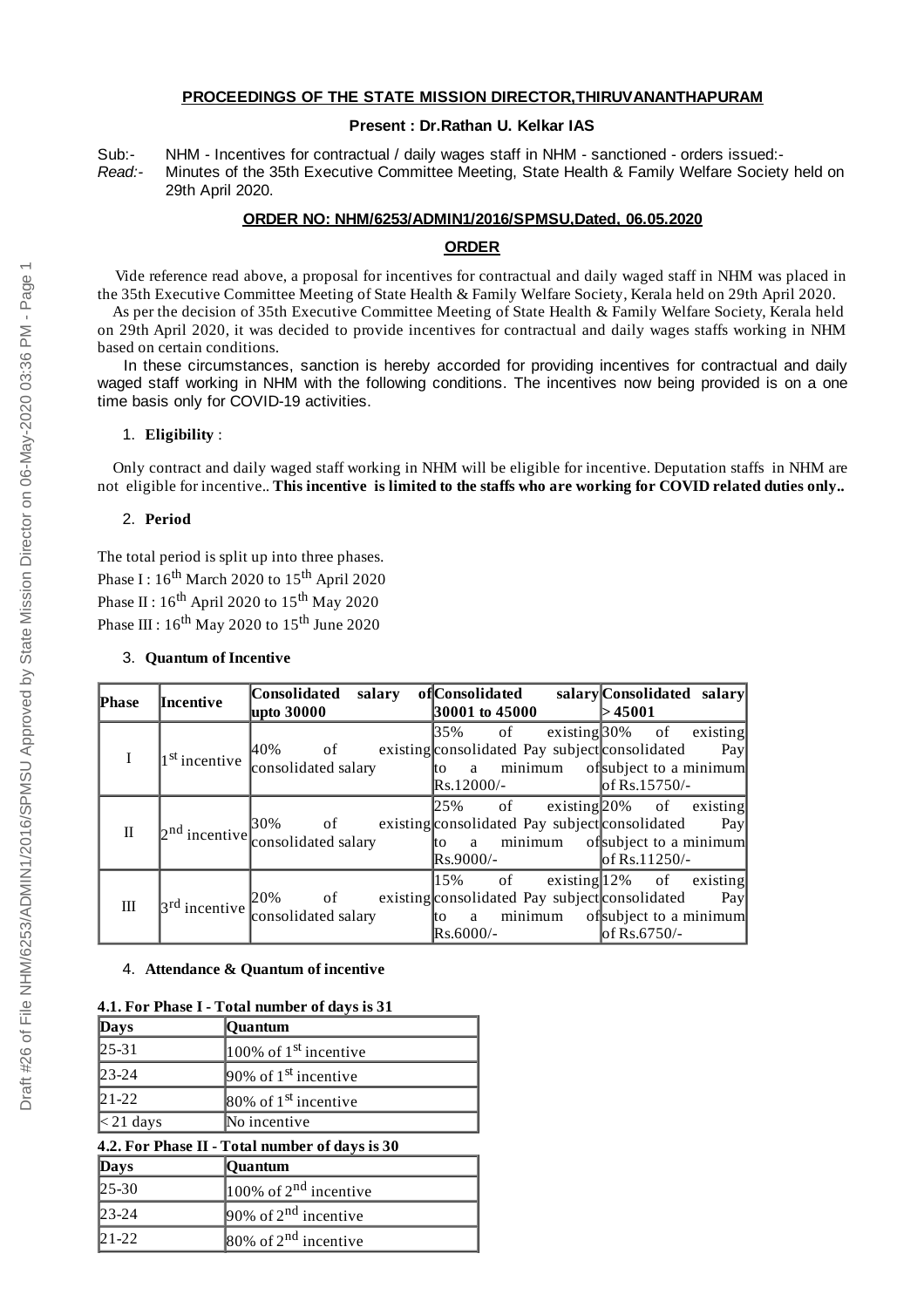### **PROCEEDINGS OF THE STATE MISSION DIRECTOR,THIRUVANANTHAPURAM**

### **Present : Dr.Rathan U. Kelkar IAS**

Sub:- NHM - Incentives for contractual / daily wages staff in NHM - sanctioned - orders issued:- *Read:-* Minutes of the 35th Executive Committee Meeting, State Health & Family Welfare Society held on 29th April 2020.

#### **ORDER NO: NHM/6253/ADMIN1/2016/SPMSU,Dated, 06.05.2020**

#### **ORDER**

Vide reference read above, a proposal for incentives for contractual and daily waged staff in NHM was placed in the 35th Executive Committee Meeting of State Health & Family Welfare Society, Kerala held on 29th April 2020.

As per the decision of 35th Executive Committee Meeting of State Health & Family Welfare Society, Kerala held on 29th April 2020, it was decided to provide incentives for contractual and daily wages staffs working in NHM based on certain conditions.

In these circumstances, sanction is hereby accorded for providing incentives for contractual and daily waged staff working in NHM with the following conditions. The incentives now being provided is on a one time basis only for COVID-19 activities.

### 1. **Eligibility** :

Only contract and daily waged staff working in NHM will be eligible for incentive. Deputation staffs in NHM are not eligible for incentive.. **This incentive is limited to the staffs who are working for COVID related duties only..**

### 2. **Period**

The total period is split up into three phases. Phase I :  $16^{\rm th}$  March 2020 to  $15^{\rm th}$  April 2020 Phase II :  $16^{\rm th}$  April 2020 to  $15^{\rm th}$  May 2020 Phase III : 16<sup>th</sup> May 2020 to 15<sup>th</sup> June 2020

### 3. **Quantum of Incentive**

| Phase        | Incentive                 | <b>Consolidated</b><br>salary<br>upto 30000                             | of Consolidated<br>30001 to 45000                                                                                                                                             | salary Consolidated salary<br>>45001                                            |
|--------------|---------------------------|-------------------------------------------------------------------------|-------------------------------------------------------------------------------------------------------------------------------------------------------------------------------|---------------------------------------------------------------------------------|
|              | 1st incentive             | $ 40\%$ of<br>consolidated salary                                       | 135% of<br>existing consolidated Pay subject consolidated<br>to a minimum<br>$\text{Rs}.12000/-$                                                                              | existing $30\%$ of existing<br>Payl<br>ofsubject to a minimum<br>lof Rs.15750/- |
| $\mathbf{I}$ |                           | $2nd$ incentive $\begin{bmatrix} 30\% & of \\ considered \end{bmatrix}$ | $\left 25\% \right $ of existing $\left 20\% \right $ of existing<br>existing consolidated Pay subject consolidated<br>$\ $ to a minimum of subject to a minimum<br>Rs.9000/- | Payl<br>lof Rs.11250/-                                                          |
| Ш            | 3 <sup>rd</sup> incentive | $ 20\%$ of<br>consolidated salary                                       | $\left 15\% \right $ of existing $\left 12\% \right $ of existing<br>existing consolidated Pay subject consolidated<br>to a minimum<br>Rs.6000/-                              | Payl<br>of subject to a minimum<br>of Rs.6750/-                                 |

#### 4. **Attendance & Quantum of incentive**

#### **4.1. For Phase I - Total number of days is 31**

| Days                                           | Quantum                           |  |  |  |
|------------------------------------------------|-----------------------------------|--|--|--|
| $25-31$                                        | 100% of 1 <sup>st</sup> incentive |  |  |  |
| $ 23-24 $                                      | 90% of 1 <sup>st</sup> incentive  |  |  |  |
| $21-22$                                        | 80% of 1 <sup>st</sup> incentive  |  |  |  |
| $\leq$ 21 days                                 | No incentive                      |  |  |  |
| 4.2. For Phase II - Total number of days is 30 |                                   |  |  |  |
| Days                                           | Quantum                           |  |  |  |
| 25-30                                          | 100% of 2 <sup>nd</sup> incentive |  |  |  |
| $23-24$                                        | 90% of 2 <sup>nd</sup> incentive  |  |  |  |
| $21-22$                                        | 80% of 2 <sup>nd</sup> incentive  |  |  |  |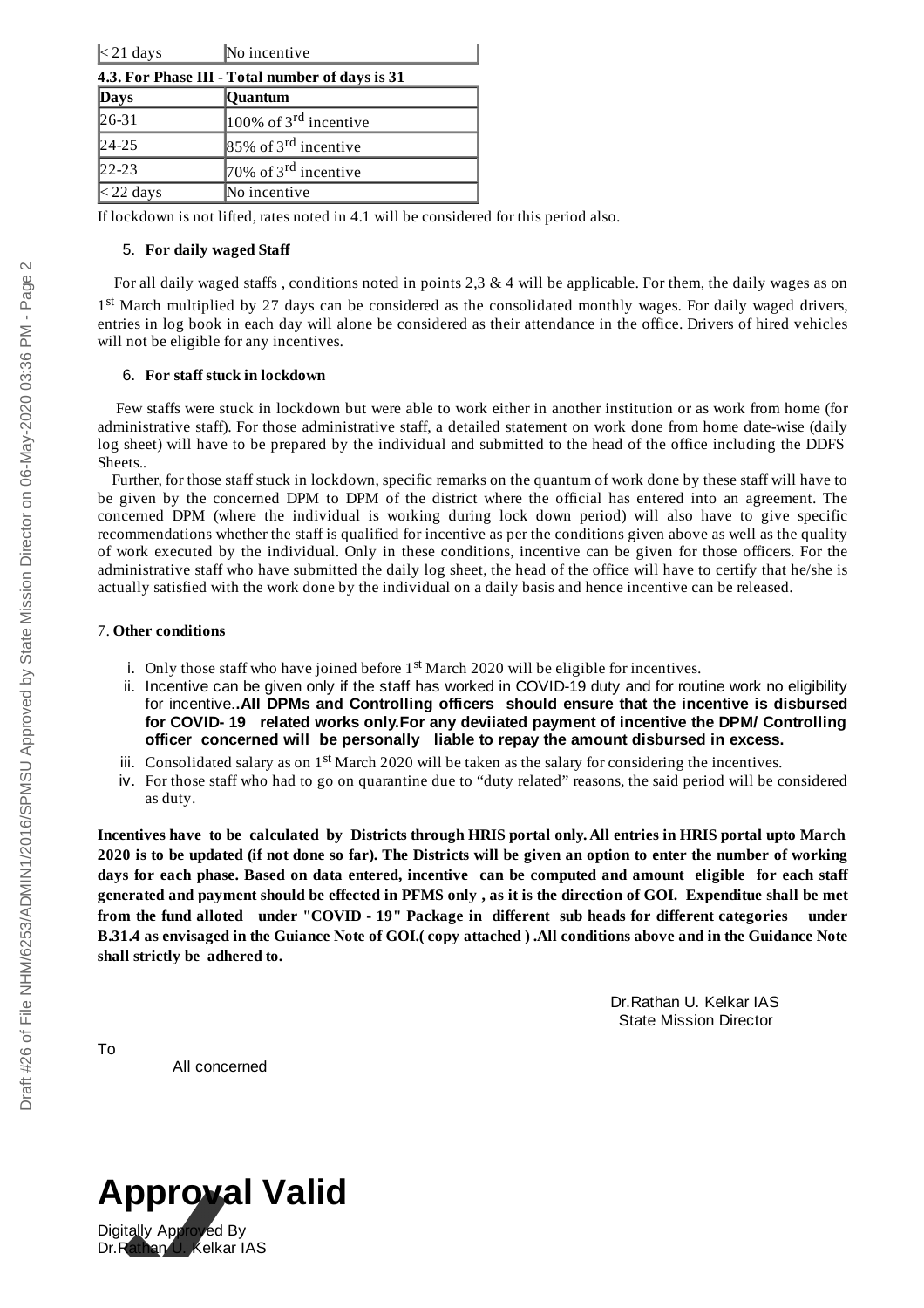| $\leq$ 21 days                                  | No incentive                      |  |  |  |
|-------------------------------------------------|-----------------------------------|--|--|--|
| 4.3. For Phase III - Total number of days is 31 |                                   |  |  |  |
| <b>Days</b>                                     | Quantum                           |  |  |  |
| $26-31$                                         | 100% of 3 <sup>rd</sup> incentive |  |  |  |
| $24-25$                                         | 85% of 3 <sup>rd</sup> incentive  |  |  |  |
| 22-23                                           | 70% of 3 <sup>rd</sup> incentive  |  |  |  |
| $\approx$ 22 days                               | No incentive                      |  |  |  |

If lockdown is not lifted, rates noted in 4.1 will be considered for this period also.

# 5. **For daily waged Staff**

For all daily waged staffs , conditions noted in points 2,3 & 4 will be applicable. For them, the daily wages as on 1<sup>st</sup> March multiplied by 27 days can be considered as the consolidated monthly wages. For daily waged drivers, entries in log book in each day will alone be considered as their attendance in the office. Drivers of hired vehicles will not be eligible for any incentives.

# 6. **For staff stuck in lockdown**

Few staffs were stuck in lockdown but were able to work either in another institution or as work from home (for administrative staff). For those administrative staff, a detailed statement on work done from home date-wise (daily log sheet) will have to be prepared by the individual and submitted to the head of the office including the DDFS Sheets..

Further, for those staff stuck in lockdown, specific remarks on the quantum of work done by these staff will have to be given by the concerned DPM to DPM of the district where the official has entered into an agreement. The concerned DPM (where the individual is working during lock down period) will also have to give specific recommendations whether the staff is qualified for incentive as per the conditions given above as well as the quality of work executed by the individual. Only in these conditions, incentive can be given for those officers. For the administrative staff who have submitted the daily log sheet, the head of the office will have to certify that he/she is actually satisfied with the work done by the individual on a daily basis and hence incentive can be released.

# 7. **Other conditions**

- i. Only those staff who have joined before  $1<sup>st</sup>$  March 2020 will be eligible for incentives.
- ii. Incentive can be given only if the staff has worked in COVID-19 duty and for routine work no eligibility for incentive.**.All DPMs and Controlling officers should ensure that the incentive is disbursed for COVID- 19 related works only.For any deviiated payment of incentive the DPM/ Controlling officer concerned will be personally liable to repay the amount disbursed in excess.**
- iii. Consolidated salary as on  $1<sup>st</sup>$  March 2020 will be taken as the salary for considering the incentives.
- iv. For those staff who had to go on quarantine due to "duty related" reasons, the said period will be considered as duty.

Incentives have to be calculated by Districts through HRIS portal only. All entries in HRIS portal upto March 2020 is to be updated (if not done so far). The Districts will be given an option to enter the number of working days for each phase. Based on data entered, incentive can be computed and amount eligible for each staff generated and payment should be effected in PFMS only, as it is the direction of GOI. Expenditue shall be met **from the fund alloted under "COVID - 19" Package in different sub heads for different categories under** B.31.4 as envisaged in the Guiance Note of GOI.(copy attached). All conditions above and in the Guidance Note **shall strictly be adhered to.**

> Dr.Rathan U. Kelkar IAS State Mission Director

To

All concerned